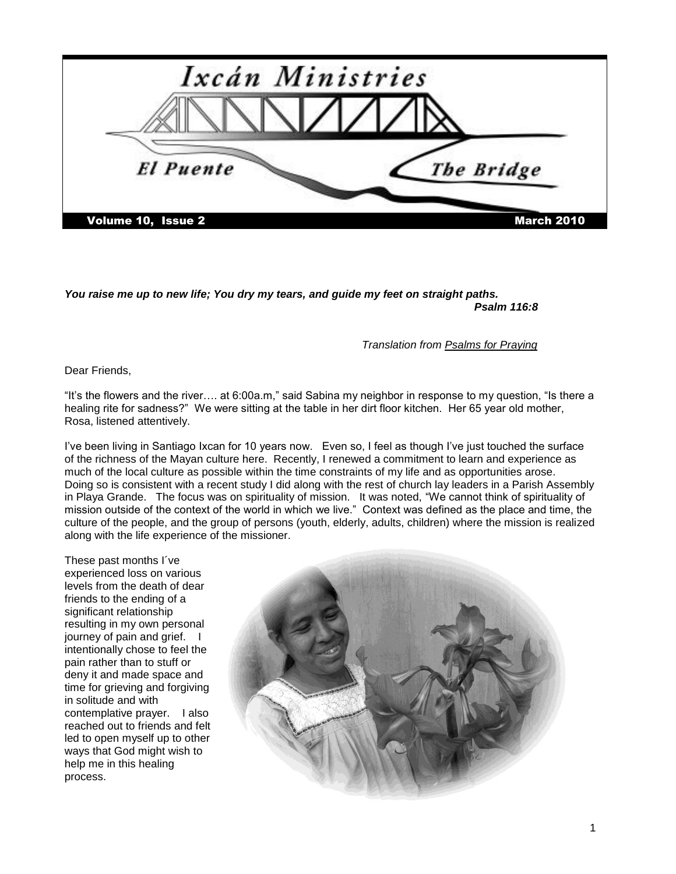

*You raise me up to new life; You dry my tears, and guide my feet on straight paths. Psalm 116:8*

*Translation from Psalms for Praying*

Dear Friends,

"It"s the flowers and the river…. at 6:00a.m," said Sabina my neighbor in response to my question, "Is there a healing rite for sadness?" We were sitting at the table in her dirt floor kitchen. Her 65 year old mother, Rosa, listened attentively.

I"ve been living in Santiago Ixcan for 10 years now. Even so, I feel as though I"ve just touched the surface of the richness of the Mayan culture here. Recently, I renewed a commitment to learn and experience as much of the local culture as possible within the time constraints of my life and as opportunities arose. Doing so is consistent with a recent study I did along with the rest of church lay leaders in a Parish Assembly in Playa Grande. The focus was on spirituality of mission. It was noted, "We cannot think of spirituality of mission outside of the context of the world in which we live." Context was defined as the place and time, the culture of the people, and the group of persons (youth, elderly, adults, children) where the mission is realized along with the life experience of the missioner.

These past months I´ve experienced loss on various levels from the death of dear friends to the ending of a significant relationship resulting in my own personal journey of pain and grief. I intentionally chose to feel the pain rather than to stuff or deny it and made space and time for grieving and forgiving in solitude and with contemplative prayer. I also reached out to friends and felt led to open myself up to other ways that God might wish to help me in this healing process.

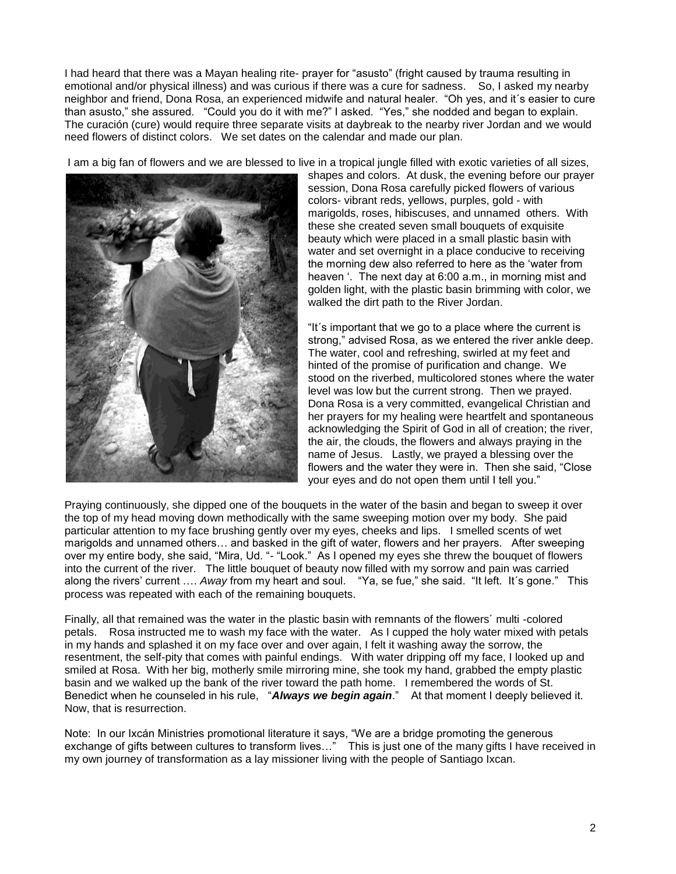I had heard that there was a Mayan healing rite- prayer for "asusto" (fright caused by trauma resulting in emotional and/or physical illness) and was curious if there was a cure for sadness. So, I asked my nearby neighbor and friend, Dona Rosa, an experienced midwife and natural healer. "Oh yes, and it´s easier to cure than asusto," she assured. "Could you do it with me?" I asked. "Yes," she nodded and began to explain. The curación (cure) would require three separate visits at daybreak to the nearby river Jordan and we would need flowers of distinct colors. We set dates on the calendar and made our plan.

I am a big fan of flowers and we are blessed to live in a tropical jungle filled with exotic varieties of all sizes,



shapes and colors. At dusk, the evening before our prayer session, Dona Rosa carefully picked flowers of various colors- vibrant reds, yellows, purples, gold - with marigolds, roses, hibiscuses, and unnamed others. With these she created seven small bouquets of exquisite beauty which were placed in a small plastic basin with water and set overnight in a place conducive to receiving the morning dew also referred to here as the "water from heaven '. The next day at 6:00 a.m., in morning mist and golden light, with the plastic basin brimming with color, we walked the dirt path to the River Jordan.

"It´s important that we go to a place where the current is strong," advised Rosa, as we entered the river ankle deep. The water, cool and refreshing, swirled at my feet and hinted of the promise of purification and change. We stood on the riverbed, multicolored stones where the water level was low but the current strong. Then we prayed. Dona Rosa is a very committed, evangelical Christian and her prayers for my healing were heartfelt and spontaneous acknowledging the Spirit of God in all of creation; the river, the air, the clouds, the flowers and always praying in the name of Jesus. Lastly, we prayed a blessing over the flowers and the water they were in. Then she said, "Close your eyes and do not open them until I tell you."

Praying continuously, she dipped one of the bouquets in the water of the basin and began to sweep it over the top of my head moving down methodically with the same sweeping motion over my body. She paid particular attention to my face brushing gently over my eyes, cheeks and lips. I smelled scents of wet marigolds and unnamed others… and basked in the gift of water, flowers and her prayers. After sweeping over my entire body, she said, "Mira, Ud. "- "Look." As I opened my eyes she threw the bouquet of flowers into the current of the river. The little bouquet of beauty now filled with my sorrow and pain was carried along the rivers" current …. *Away* from my heart and soul. "Ya, se fue," she said. "It left. It´s gone." This process was repeated with each of the remaining bouquets.

Finally, all that remained was the water in the plastic basin with remnants of the flowers´ multi -colored petals. Rosa instructed me to wash my face with the water. As I cupped the holy water mixed with petals in my hands and splashed it on my face over and over again, I felt it washing away the sorrow, the resentment, the self-pity that comes with painful endings. With water dripping off my face, I looked up and smiled at Rosa. With her big, motherly smile mirroring mine, she took my hand, grabbed the empty plastic basin and we walked up the bank of the river toward the path home. I remembered the words of St. Benedict when he counseled in his rule, "*Always we begin again*." At that moment I deeply believed it. Now, that is resurrection.

Note: In our Ixcán Ministries promotional literature it says, "We are a bridge promoting the generous exchange of gifts between cultures to transform lives…" This is just one of the many gifts I have received in my own journey of transformation as a lay missioner living with the people of Santiago Ixcan.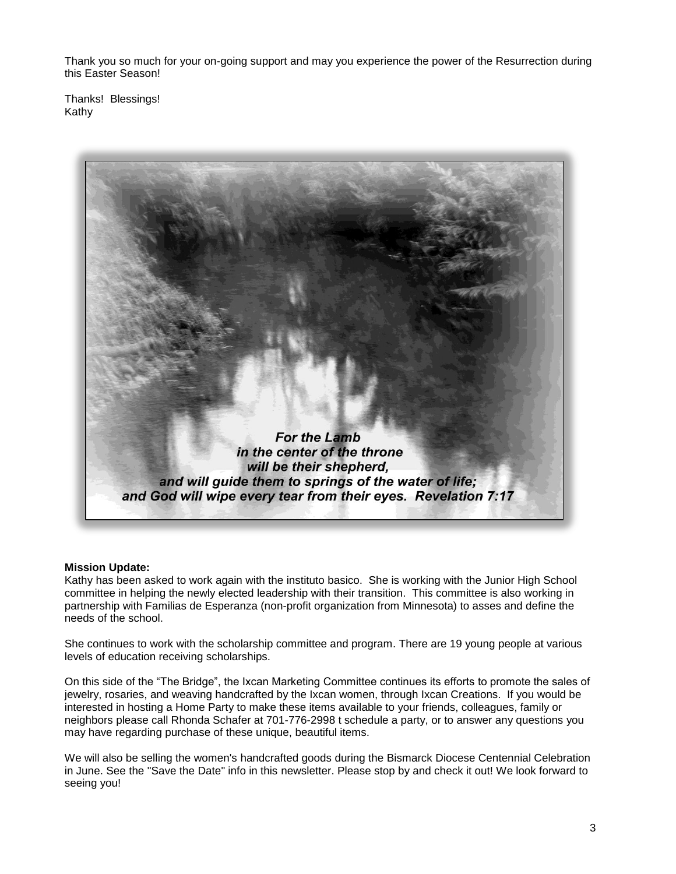Thank you so much for your on-going support and may you experience the power of the Resurrection during this Easter Season!

Thanks! Blessings! Kathy



## **Mission Update:**

Kathy has been asked to work again with the instituto basico. She is working with the Junior High School committee in helping the newly elected leadership with their transition. This committee is also working in partnership with Familias de Esperanza (non-profit organization from Minnesota) to asses and define the needs of the school.

She continues to work with the scholarship committee and program. There are 19 young people at various levels of education receiving scholarships.

On this side of the "The Bridge", the Ixcan Marketing Committee continues its efforts to promote the sales of jewelry, rosaries, and weaving handcrafted by the Ixcan women, through Ixcan Creations. If you would be interested in hosting a Home Party to make these items available to your friends, colleagues, family or neighbors please call Rhonda Schafer at 701-776-2998 t schedule a party, or to answer any questions you may have regarding purchase of these unique, beautiful items.

We will also be selling the women's handcrafted goods during the Bismarck Diocese Centennial Celebration in June. See the "Save the Date" info in this newsletter. Please stop by and check it out! We look forward to seeing you!